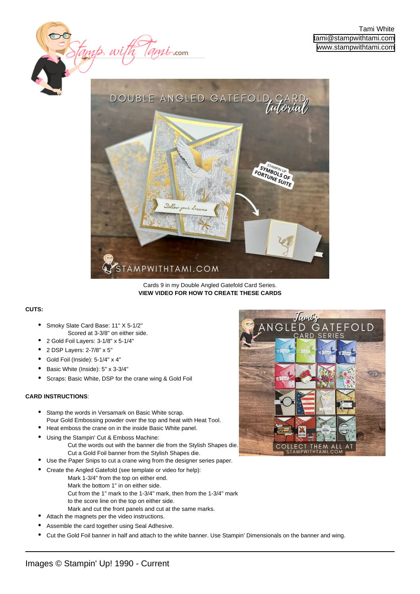

 $m\ddot{\ell}$  com

Cards 9 in my Double Angled Gatefold Card Series. **[VIEW VIDEO FOR HOW TO CREATE THESE CARDS](https://stampwithtami.com/?p=63962)**

## **CUTS:**

Smoky Slate Card Base: 11" X 5-1/2" Scored at 3-3/8" on either side. •

tamp u

- 2 Gold Foil Layers: 3-1/8" x 5-1/4"
- 2 DSP Layers: 2-7/8" x 5"
- Gold Foil (Inside): 5-1/4" x 4"
- Basic White (Inside): 5" x 3-3/4"
- Scraps: Basic White, DSP for the crane wing & Gold Foil

## **CARD INSTRUCTIONS**:

•

- Stamp the words in Versamark on Basic White scrap. Pour Gold Embossing powder over the top and heat with Heat Tool. •
- Heat emboss the crane on in the inside Basic White panel.
	- Using the Stampin' Cut & Emboss Machine: Cut the words out with the banner die from the Stylish Shapes die. Cut a Gold Foil banner from the Stylish Shapes die.
- Use the Paper Snips to cut a crane wing from the designer series paper.
- Create the Angled Gatefold (see template or video for help): •
	- Mark 1-3/4" from the top on either end.
	- Mark the bottom 1" in on either side.
	- Cut from the 1" mark to the 1-3/4" mark, then from the 1-3/4" mark to the score line on the top on either side.
	- Mark and cut the front panels and cut at the same marks.
	- Attach the magnets per the video instructions.
- Assemble the card together using Seal Adhesive.
- Cut the Gold Foil banner in half and attach to the white banner. Use Stampin' Dimensionals on the banner and wing.

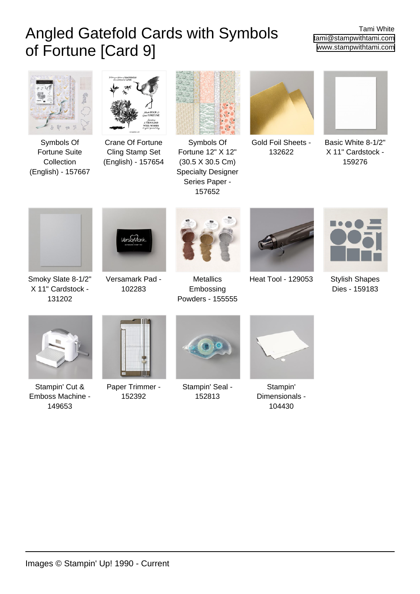## Angled Gatefold Cards with Symbols of Fortune [Card 9]

Tami White [tami@stampwithtami.com](mailto:tami@stampwithtami.com) [www.stampwithtami.com](http://www.stampwithtami.com)



[Symbols Of](https://www.stampinup.com/products/symbols-of-fortune-suite-collection-english?dbwsdemoid=73215) [Fortune Suite](https://www.stampinup.com/products/symbols-of-fortune-suite-collection-english?dbwsdemoid=73215) [Collection](https://www.stampinup.com/products/symbols-of-fortune-suite-collection-english?dbwsdemoid=73215) [\(English\) - 157667](https://www.stampinup.com/products/symbols-of-fortune-suite-collection-english?dbwsdemoid=73215)



[Crane Of Fortune](https://www.stampinup.com/products/crane-of-fortune-cling-stamp-set-english?dbwsdemoid=73215) [Cling Stamp Set](https://www.stampinup.com/products/crane-of-fortune-cling-stamp-set-english?dbwsdemoid=73215) [\(English\) - 157654](https://www.stampinup.com/products/crane-of-fortune-cling-stamp-set-english?dbwsdemoid=73215)



[Symbols Of](https://www.stampinup.com/products/symbols-of-fortune-specialty-designer-series-paper?dbwsdemoid=73215) [Fortune 12" X 12"](https://www.stampinup.com/products/symbols-of-fortune-specialty-designer-series-paper?dbwsdemoid=73215) [\(30.5 X 30.5 Cm\)](https://www.stampinup.com/products/symbols-of-fortune-specialty-designer-series-paper?dbwsdemoid=73215) [Specialty Designer](https://www.stampinup.com/products/symbols-of-fortune-specialty-designer-series-paper?dbwsdemoid=73215) [Series Paper -](https://www.stampinup.com/products/symbols-of-fortune-specialty-designer-series-paper?dbwsdemoid=73215) [157652](https://www.stampinup.com/products/symbols-of-fortune-specialty-designer-series-paper?dbwsdemoid=73215)



[Gold Foil Sheets -](https://www.stampinup.com/products/foil-sheets-gold?dbwsdemoid=73215) [132622](https://www.stampinup.com/products/foil-sheets-gold?dbwsdemoid=73215)



[Basic White 8-1/2"](https://www.stampinup.com/products/basic-white-8-1-2-x-11-cardstock?dbwsdemoid=73215) [X 11" Cardstock -](https://www.stampinup.com/products/basic-white-8-1-2-x-11-cardstock?dbwsdemoid=73215) [159276](https://www.stampinup.com/products/basic-white-8-1-2-x-11-cardstock?dbwsdemoid=73215)



[Smoky Slate 8-1/2"](https://www.stampinup.com/products/cardstock-8-1-2-x-11-smoky-slate?dbwsdemoid=73215) [X 11" Cardstock -](https://www.stampinup.com/products/cardstock-8-1-2-x-11-smoky-slate?dbwsdemoid=73215) [131202](https://www.stampinup.com/products/cardstock-8-1-2-x-11-smoky-slate?dbwsdemoid=73215)



[Versamark Pad -](https://www.stampinup.com/products/versamark-pad?dbwsdemoid=73215) [102283](https://www.stampinup.com/products/versamark-pad?dbwsdemoid=73215)



**[Metallics](https://www.stampinup.com/products/metallics-stampin-emboss-powders?dbwsdemoid=73215)** [Embossing](https://www.stampinup.com/products/metallics-stampin-emboss-powders?dbwsdemoid=73215) [Powders - 155555](https://www.stampinup.com/products/metallics-stampin-emboss-powders?dbwsdemoid=73215)



[Heat Tool - 129053](https://www.stampinup.com/products/heat-tool?dbwsdemoid=73215) [Stylish Shapes](https://www.stampinup.com/products/stylish-shapes-dies?dbwsdemoid=73215)



[Dies - 159183](https://www.stampinup.com/products/stylish-shapes-dies?dbwsdemoid=73215)



[Stampin' Cut &](https://www.stampinup.com/products/stampin-cut-emboss-machine?dbwsdemoid=73215) [Emboss Machine -](https://www.stampinup.com/products/stampin-cut-emboss-machine?dbwsdemoid=73215) [149653](https://www.stampinup.com/products/stampin-cut-emboss-machine?dbwsdemoid=73215)



[Paper Trimmer -](https://www.stampinup.com/products/paper-trimmer?dbwsdemoid=73215) [152392](https://www.stampinup.com/products/paper-trimmer?dbwsdemoid=73215)



[Stampin' Seal -](https://www.stampinup.com/products/stampin-seal?dbwsdemoid=73215) [152813](https://www.stampinup.com/products/stampin-seal?dbwsdemoid=73215)



[Stampin'](https://www.stampinup.com/products/stampin-dimensionals?dbwsdemoid=73215) [Dimensionals -](https://www.stampinup.com/products/stampin-dimensionals?dbwsdemoid=73215) [104430](https://www.stampinup.com/products/stampin-dimensionals?dbwsdemoid=73215)